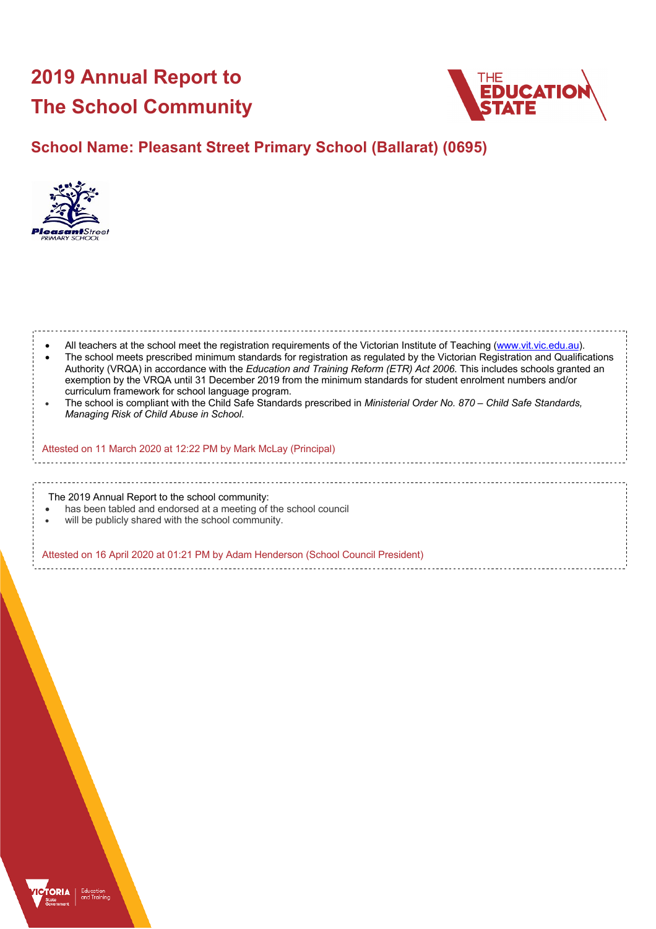# **2019 Annual Report to The School Community**



## **School Name: Pleasant Street Primary School (Ballarat) (0695)**



| All teachers at the school meet the registration requirements of the Victorian Institute of Teaching (www.vit.vic.edu.au).<br>The school meets prescribed minimum standards for registration as regulated by the Victorian Registration and Qualifications<br>Authority (VRQA) in accordance with the Education and Training Reform (ETR) Act 2006. This includes schools granted an<br>exemption by the VRQA until 31 December 2019 from the minimum standards for student enrolment numbers and/or<br>curriculum framework for school language program.<br>The school is compliant with the Child Safe Standards prescribed in Ministerial Order No. 870 – Child Safe Standards,<br>Managing Risk of Child Abuse in School. |
|-------------------------------------------------------------------------------------------------------------------------------------------------------------------------------------------------------------------------------------------------------------------------------------------------------------------------------------------------------------------------------------------------------------------------------------------------------------------------------------------------------------------------------------------------------------------------------------------------------------------------------------------------------------------------------------------------------------------------------|
| Attested on 11 March 2020 at 12:22 PM by Mark McLay (Principal)                                                                                                                                                                                                                                                                                                                                                                                                                                                                                                                                                                                                                                                               |
|                                                                                                                                                                                                                                                                                                                                                                                                                                                                                                                                                                                                                                                                                                                               |
| The 2019 Annual Report to the school community:<br>has been tabled and endorsed at a meeting of the school council<br>will be publicly shared with the school community.                                                                                                                                                                                                                                                                                                                                                                                                                                                                                                                                                      |
| Attested on 16 April 2020 at 01:21 PM by Adam Henderson (School Council President)                                                                                                                                                                                                                                                                                                                                                                                                                                                                                                                                                                                                                                            |

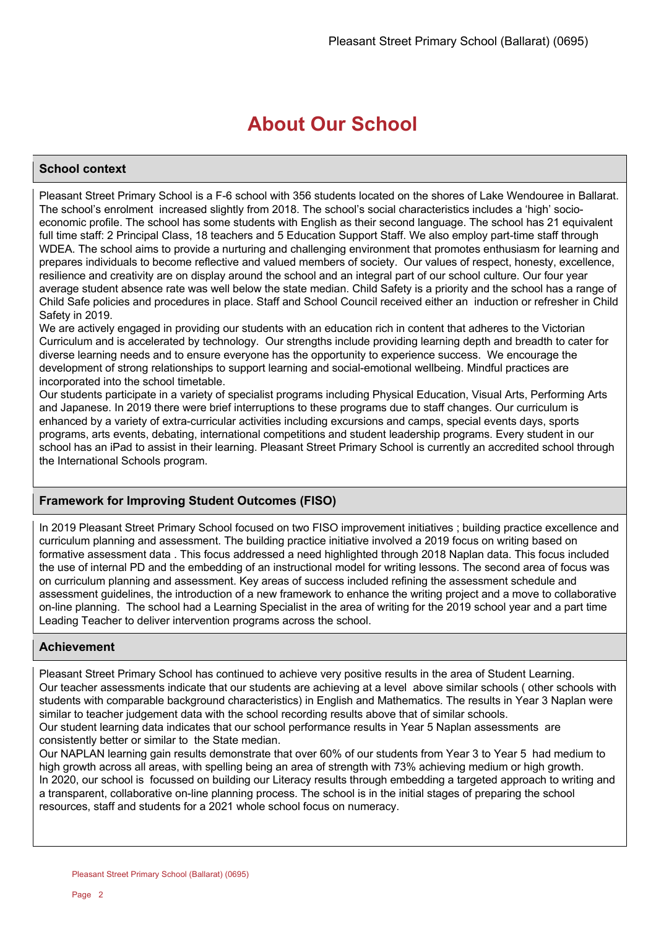## **About Our School**

### **School context**

Pleasant Street Primary School is a F-6 school with 356 students located on the shores of Lake Wendouree in Ballarat. The school's enrolment increased slightly from 2018. The school's social characteristics includes a 'high' socioeconomic profile. The school has some students with English as their second language. The school has 21 equivalent full time staff: 2 Principal Class, 18 teachers and 5 Education Support Staff. We also employ part-time staff through WDEA. The school aims to provide a nurturing and challenging environment that promotes enthusiasm for learning and prepares individuals to become reflective and valued members of society. Our values of respect, honesty, excellence, resilience and creativity are on display around the school and an integral part of our school culture. Our four year average student absence rate was well below the state median. Child Safety is a priority and the school has a range of Child Safe policies and procedures in place. Staff and School Council received either an induction or refresher in Child Safety in 2019.

We are actively engaged in providing our students with an education rich in content that adheres to the Victorian Curriculum and is accelerated by technology. Our strengths include providing learning depth and breadth to cater for diverse learning needs and to ensure everyone has the opportunity to experience success. We encourage the development of strong relationships to support learning and social-emotional wellbeing. Mindful practices are incorporated into the school timetable.

Our students participate in a variety of specialist programs including Physical Education, Visual Arts, Performing Arts and Japanese. In 2019 there were brief interruptions to these programs due to staff changes. Our curriculum is enhanced by a variety of extra-curricular activities including excursions and camps, special events days, sports programs, arts events, debating, international competitions and student leadership programs. Every student in our school has an iPad to assist in their learning. Pleasant Street Primary School is currently an accredited school through the International Schools program.

### **Framework for Improving Student Outcomes (FISO)**

In 2019 Pleasant Street Primary School focused on two FISO improvement initiatives ; building practice excellence and curriculum planning and assessment. The building practice initiative involved a 2019 focus on writing based on formative assessment data . This focus addressed a need highlighted through 2018 Naplan data. This focus included the use of internal PD and the embedding of an instructional model for writing lessons. The second area of focus was on curriculum planning and assessment. Key areas of success included refining the assessment schedule and assessment guidelines, the introduction of a new framework to enhance the writing project and a move to collaborative on-line planning. The school had a Learning Specialist in the area of writing for the 2019 school year and a part time Leading Teacher to deliver intervention programs across the school.

### **Achievement**

Pleasant Street Primary School has continued to achieve very positive results in the area of Student Learning. Our teacher assessments indicate that our students are achieving at a level above similar schools ( other schools with students with comparable background characteristics) in English and Mathematics. The results in Year 3 Naplan were similar to teacher judgement data with the school recording results above that of similar schools.

Our student learning data indicates that our school performance results in Year 5 Naplan assessments are consistently better or similar to the State median.

Our NAPLAN learning gain results demonstrate that over 60% of our students from Year 3 to Year 5 had medium to high growth across all areas, with spelling being an area of strength with 73% achieving medium or high growth. In 2020, our school is focussed on building our Literacy results through embedding a targeted approach to writing and a transparent, collaborative on-line planning process. The school is in the initial stages of preparing the school resources, staff and students for a 2021 whole school focus on numeracy.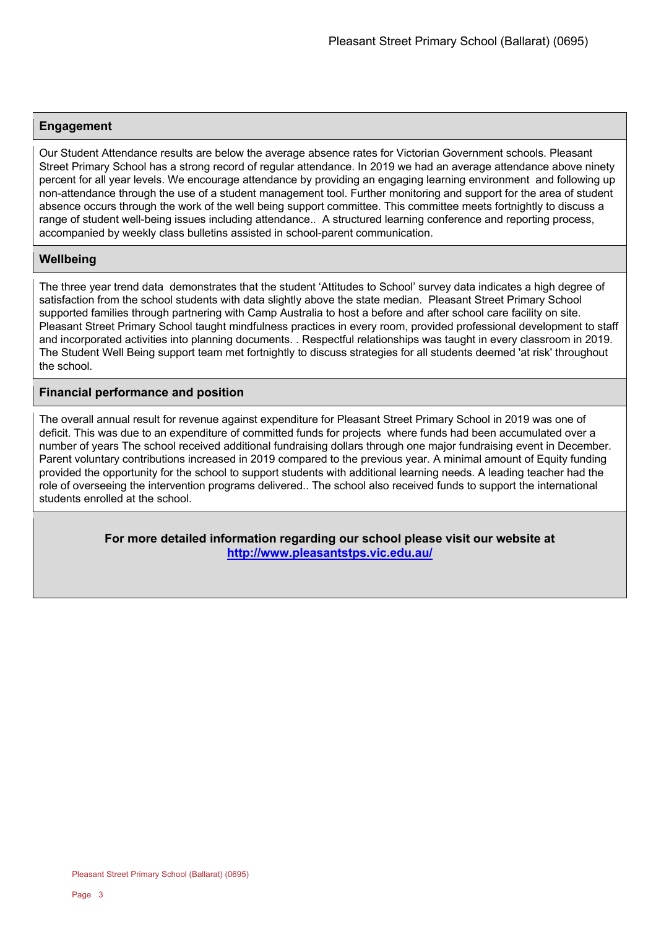### **Engagement**

Our Student Attendance results are below the average absence rates for Victorian Government schools. Pleasant Street Primary School has a strong record of regular attendance. In 2019 we had an average attendance above ninety percent for all year levels. We encourage attendance by providing an engaging learning environment and following up non-attendance through the use of a student management tool. Further monitoring and support for the area of student absence occurs through the work of the well being support committee. This committee meets fortnightly to discuss a range of student well-being issues including attendance.. A structured learning conference and reporting process, accompanied by weekly class bulletins assisted in school-parent communication.

### **Wellbeing**

The three year trend data demonstrates that the student 'Attitudes to School' survey data indicates a high degree of satisfaction from the school students with data slightly above the state median. Pleasant Street Primary School supported families through partnering with Camp Australia to host a before and after school care facility on site. Pleasant Street Primary School taught mindfulness practices in every room, provided professional development to staff and incorporated activities into planning documents. . Respectful relationships was taught in every classroom in 2019. The Student Well Being support team met fortnightly to discuss strategies for all students deemed 'at risk' throughout the school.

### **Financial performance and position**

The overall annual result for revenue against expenditure for Pleasant Street Primary School in 2019 was one of deficit. This was due to an expenditure of committed funds for projects where funds had been accumulated over a number of years The school received additional fundraising dollars through one major fundraising event in December. Parent voluntary contributions increased in 2019 compared to the previous year. A minimal amount of Equity funding provided the opportunity for the school to support students with additional learning needs. A leading teacher had the role of overseeing the intervention programs delivered.. The school also received funds to support the international students enrolled at the school.

> **For more detailed information regarding our school please visit our website at http://www.pleasantstps.vic.edu.au/**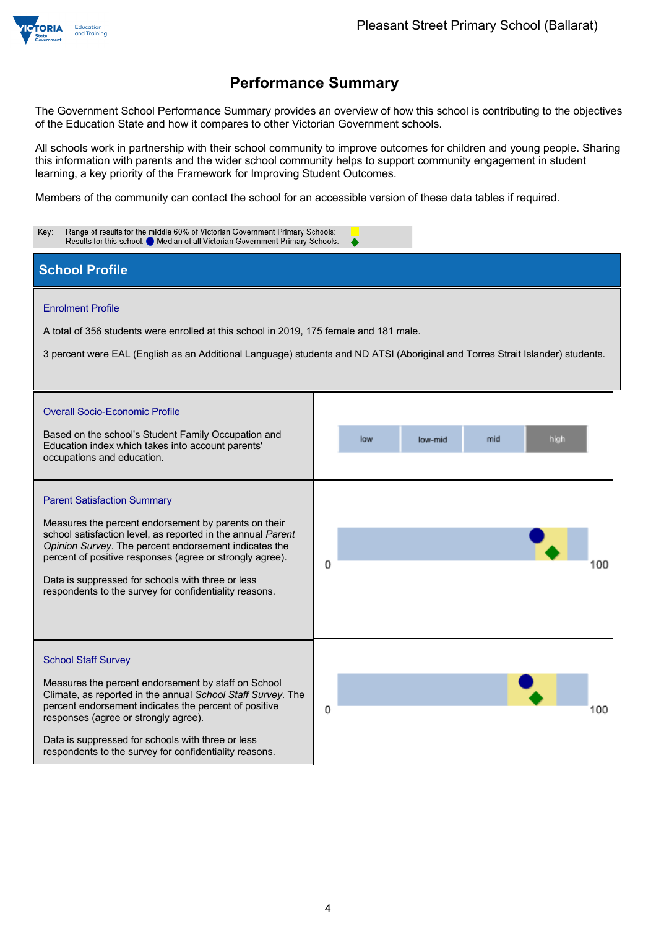

The Government School Performance Summary provides an overview of how this school is contributing to the objectives of the Education State and how it compares to other Victorian Government schools.

All schools work in partnership with their school community to improve outcomes for children and young people. Sharing this information with parents and the wider school community helps to support community engagement in student learning, a key priority of the Framework for Improving Student Outcomes.

Members of the community can contact the school for an accessible version of these data tables if required.

| Range of results for the middle 60% of Victorian Government Primary Schools:<br>Key:<br>Results for this school: O Median of all Victorian Government Primary Schools:                                                                                                                                                                                                                        |                               |  |  |  |
|-----------------------------------------------------------------------------------------------------------------------------------------------------------------------------------------------------------------------------------------------------------------------------------------------------------------------------------------------------------------------------------------------|-------------------------------|--|--|--|
| <b>School Profile</b>                                                                                                                                                                                                                                                                                                                                                                         |                               |  |  |  |
| <b>Enrolment Profile</b><br>A total of 356 students were enrolled at this school in 2019, 175 female and 181 male.<br>3 percent were EAL (English as an Additional Language) students and ND ATSI (Aboriginal and Torres Strait Islander) students.                                                                                                                                           |                               |  |  |  |
| <b>Overall Socio-Economic Profile</b><br>Based on the school's Student Family Occupation and<br>Education index which takes into account parents'<br>occupations and education.                                                                                                                                                                                                               | low<br>mid<br>high<br>low-mid |  |  |  |
| <b>Parent Satisfaction Summary</b><br>Measures the percent endorsement by parents on their<br>school satisfaction level, as reported in the annual Parent<br>Opinion Survey. The percent endorsement indicates the<br>percent of positive responses (agree or strongly agree).<br>Data is suppressed for schools with three or less<br>respondents to the survey for confidentiality reasons. | O<br>100                      |  |  |  |
| <b>School Staff Survey</b><br>Measures the percent endorsement by staff on School<br>Climate, as reported in the annual School Staff Survey. The<br>percent endorsement indicates the percent of positive<br>responses (agree or strongly agree).<br>Data is suppressed for schools with three or less<br>respondents to the survey for confidentiality reasons.                              | 0<br>100                      |  |  |  |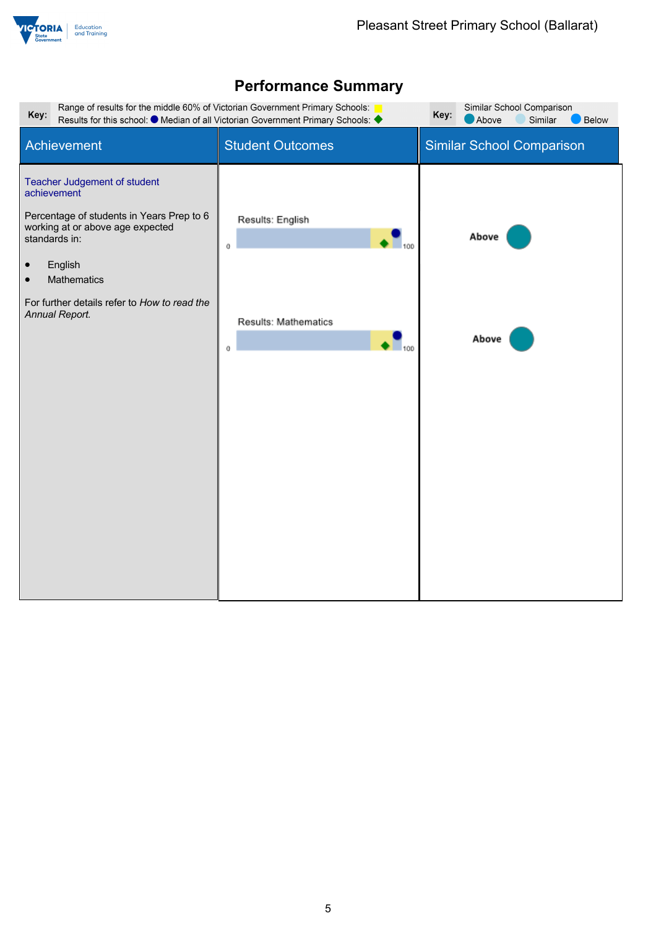

| Range of results for the middle 60% of Victorian Government Primary Schools:<br>Similar School Comparison<br>Key:<br>Key:<br>Results for this school: ● Median of all Victorian Government Primary Schools: ◆<br>Above<br>Similar<br>Below                          |                                                           |                                  |  |  |  |
|---------------------------------------------------------------------------------------------------------------------------------------------------------------------------------------------------------------------------------------------------------------------|-----------------------------------------------------------|----------------------------------|--|--|--|
| Achievement                                                                                                                                                                                                                                                         | <b>Student Outcomes</b>                                   | <b>Similar School Comparison</b> |  |  |  |
| Teacher Judgement of student<br>achievement<br>Percentage of students in Years Prep to 6<br>working at or above age expected<br>standards in:<br>English<br>$\bullet$<br>Mathematics<br>$\bullet$<br>For further details refer to How to read the<br>Annual Report. | Results: English<br>100<br>0<br>Results: Mathematics<br>0 | Above<br>Above                   |  |  |  |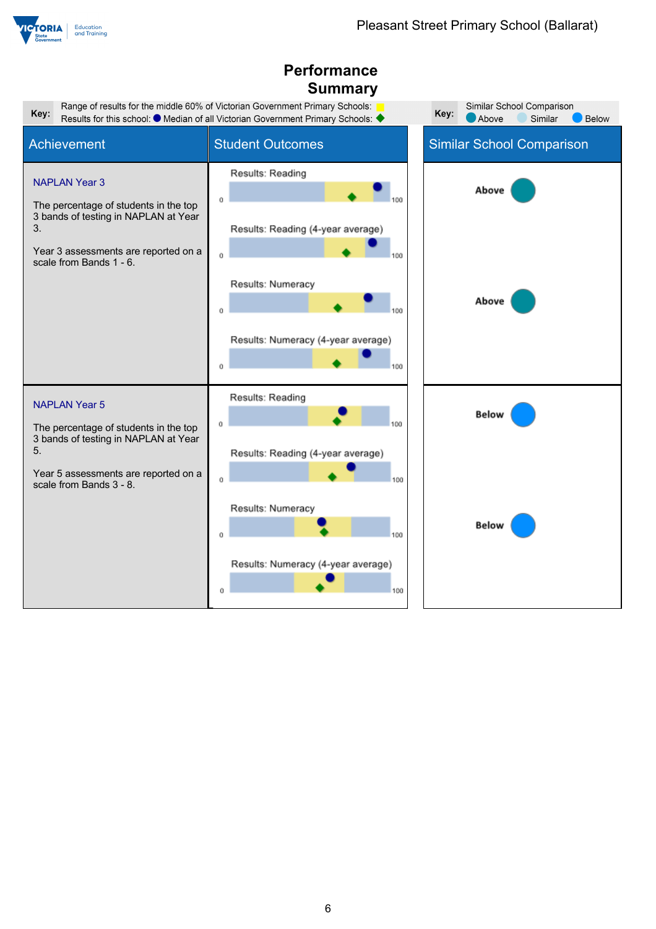

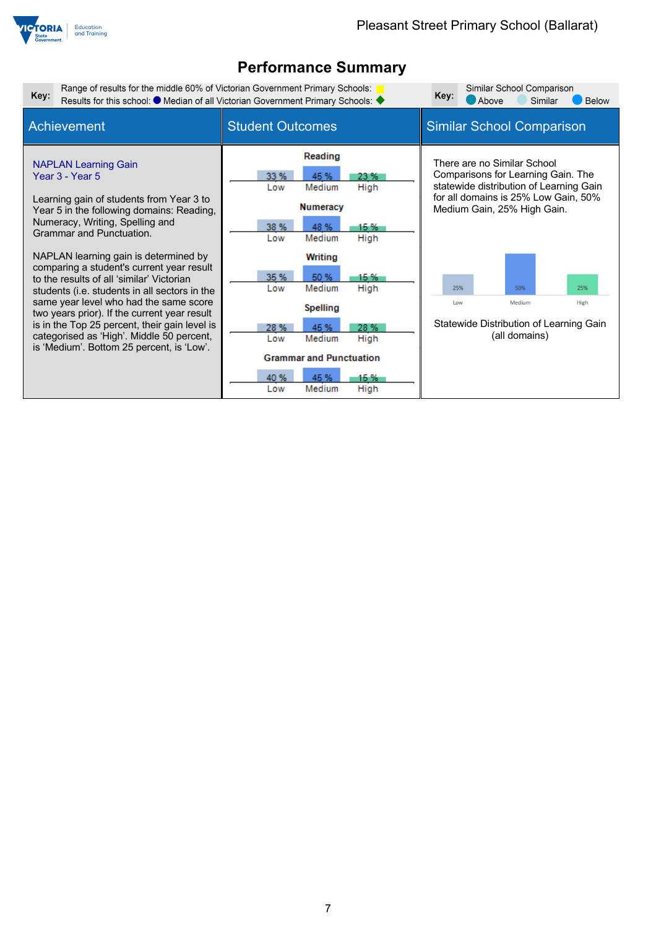

| Key:                                                                                                          |                                                                                                                                                                                                                                                                                                                                                                                                                                                                                                                | Range of results for the middle 60% of Victorian Government Primary Schools:<br>Results for this school: ● Median of all Victorian Government Primary Schools: ◆ |                                                                                                                                                                    |                                                              |            | Above                            | Similar School Comparison<br>Similar                                                                                               | <b>Below</b>                                                                                                                              |
|---------------------------------------------------------------------------------------------------------------|----------------------------------------------------------------------------------------------------------------------------------------------------------------------------------------------------------------------------------------------------------------------------------------------------------------------------------------------------------------------------------------------------------------------------------------------------------------------------------------------------------------|------------------------------------------------------------------------------------------------------------------------------------------------------------------|--------------------------------------------------------------------------------------------------------------------------------------------------------------------|--------------------------------------------------------------|------------|----------------------------------|------------------------------------------------------------------------------------------------------------------------------------|-------------------------------------------------------------------------------------------------------------------------------------------|
| Achievement                                                                                                   |                                                                                                                                                                                                                                                                                                                                                                                                                                                                                                                | <b>Student Outcomes</b>                                                                                                                                          |                                                                                                                                                                    |                                                              |            | <b>Similar School Comparison</b> |                                                                                                                                    |                                                                                                                                           |
| <b>NAPLAN Learning Gain</b><br>Year 3 - Year 5<br>Numeracy, Writing, Spelling and<br>Grammar and Punctuation. | Learning gain of students from Year 3 to<br>Year 5 in the following domains: Reading,<br>NAPLAN learning gain is determined by<br>comparing a student's current year result<br>to the results of all 'similar' Victorian<br>students (i.e. students in all sectors in the<br>same year level who had the same score<br>two years prior). If the current year result<br>is in the Top 25 percent, their gain level is<br>categorised as 'High'. Middle 50 percent,<br>is 'Medium'. Bottom 25 percent, is 'Low'. | 33 %<br>Low<br>38 %<br>Low<br>35 %<br>Low<br>28 %<br>Low                                                                                                         | Reading<br>45 %<br>Medium<br><b>Numeracy</b><br>48 %<br>Medium<br>Writing<br>50 %<br>Medium<br><b>Spelling</b><br>45 %<br>Medium<br><b>Grammar and Punctuation</b> | 23 %<br>High<br>15 %<br>High<br>15 %<br>High<br>28 %<br>High | 25%<br>Low |                                  | There are no Similar School<br>Comparisons for Learning Gain. The<br>Medium Gain, 25% High Gain.<br>50%<br>Medium<br>(all domains) | statewide distribution of Learning Gain<br>for all domains is 25% Low Gain, 50%<br>25%<br>High<br>Statewide Distribution of Learning Gain |
|                                                                                                               |                                                                                                                                                                                                                                                                                                                                                                                                                                                                                                                | 40%<br>Low                                                                                                                                                       | 45 %<br>Medium                                                                                                                                                     | 15 %<br>High                                                 |            |                                  |                                                                                                                                    |                                                                                                                                           |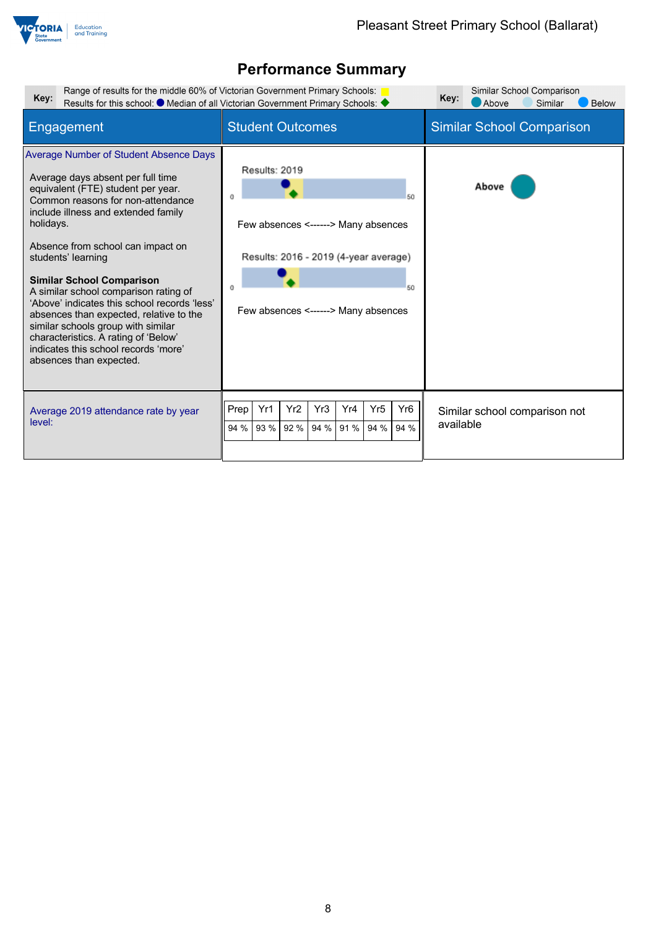

| Range of results for the middle 60% of Victorian Government Primary Schools:<br>Key:                                                                                                                                                                                                                                                                                                                                                                                                                                                                                                           | Results for this school: $\bullet$ Median of all Victorian Government Primary Schools:                                                           | Similar School Comparison<br>Key:<br>Below<br>Above<br>Similar |
|------------------------------------------------------------------------------------------------------------------------------------------------------------------------------------------------------------------------------------------------------------------------------------------------------------------------------------------------------------------------------------------------------------------------------------------------------------------------------------------------------------------------------------------------------------------------------------------------|--------------------------------------------------------------------------------------------------------------------------------------------------|----------------------------------------------------------------|
| Engagement                                                                                                                                                                                                                                                                                                                                                                                                                                                                                                                                                                                     | <b>Student Outcomes</b>                                                                                                                          | <b>Similar School Comparison</b>                               |
| Average Number of Student Absence Days<br>Average days absent per full time<br>equivalent (FTE) student per year.<br>Common reasons for non-attendance<br>include illness and extended family<br>holidays.<br>Absence from school can impact on<br>students' learning<br><b>Similar School Comparison</b><br>A similar school comparison rating of<br>'Above' indicates this school records 'less'<br>absences than expected, relative to the<br>similar schools group with similar<br>characteristics. A rating of 'Below'<br>indicates this school records 'more'<br>absences than expected. | Results: 2019<br>50<br>Few absences <------> Many absences<br>Results: 2016 - 2019 (4-year average)<br>60<br>Few absences <------> Many absences | Above                                                          |
| Average 2019 attendance rate by year<br>level:                                                                                                                                                                                                                                                                                                                                                                                                                                                                                                                                                 | Yr <sub>2</sub><br>Yr <sub>6</sub><br>Prep<br>Yr1<br>Yr3<br>Yr4<br>Yr <sub>5</sub><br>93 %<br>94 %<br>94 %<br>94 %<br>94 %<br>92 %<br>91 %       | Similar school comparison not<br>available                     |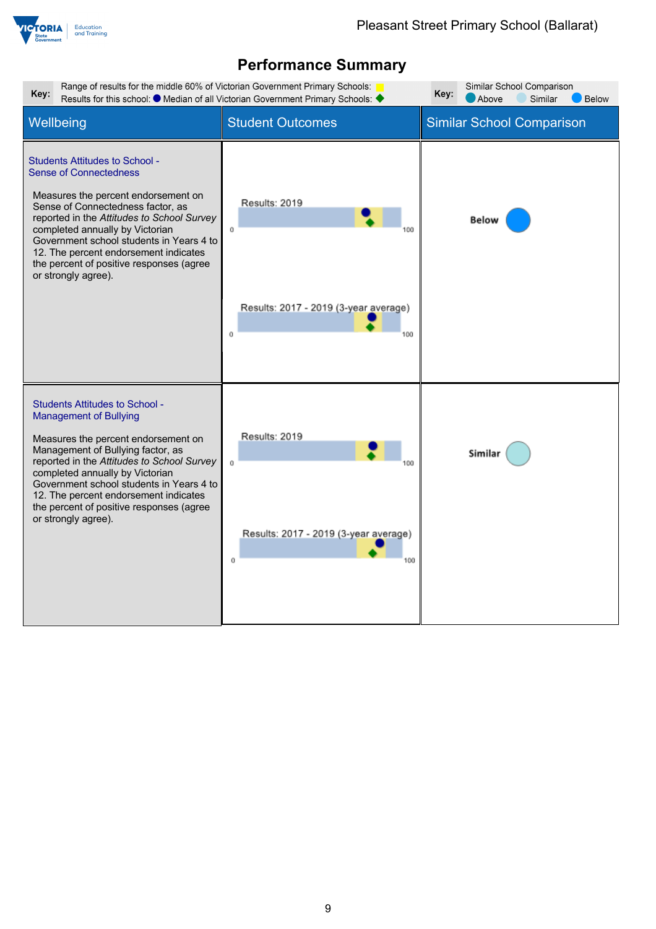

| Range of results for the middle 60% of Victorian Government Primary Schools:<br>Similar School Comparison<br>Key:<br>Key:<br>Results for this school: $\bullet$ Median of all Victorian Government Primary Schools:<br>Similar<br>Above<br>Below                                                                                                                                            |                                                                         |                                  |  |  |  |
|---------------------------------------------------------------------------------------------------------------------------------------------------------------------------------------------------------------------------------------------------------------------------------------------------------------------------------------------------------------------------------------------|-------------------------------------------------------------------------|----------------------------------|--|--|--|
| Wellbeing                                                                                                                                                                                                                                                                                                                                                                                   | <b>Student Outcomes</b>                                                 | <b>Similar School Comparison</b> |  |  |  |
| <b>Students Attitudes to School -</b><br><b>Sense of Connectedness</b><br>Measures the percent endorsement on<br>Sense of Connectedness factor, as<br>reported in the Attitudes to School Survey<br>completed annually by Victorian<br>Government school students in Years 4 to<br>12. The percent endorsement indicates<br>the percent of positive responses (agree<br>or strongly agree). | Results: 2019<br>Ō<br>Results: 2017 - 2019 (3-year average)<br>Ŭ<br>100 | <b>Below</b>                     |  |  |  |
| <b>Students Attitudes to School -</b><br><b>Management of Bullying</b><br>Measures the percent endorsement on<br>Management of Bullying factor, as<br>reported in the Attitudes to School Survey<br>completed annually by Victorian<br>Government school students in Years 4 to<br>12. The percent endorsement indicates<br>the percent of positive responses (agree<br>or strongly agree). | Results: 2019<br>Ŭ<br>Results: 2017 - 2019 (3-year average)<br>Ŭ<br>100 | Similar                          |  |  |  |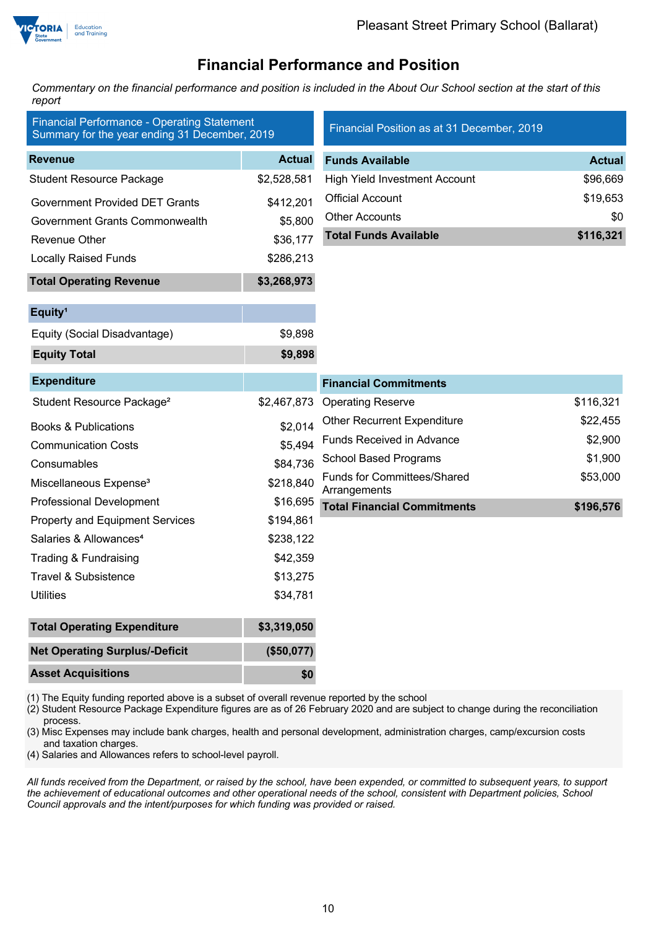

## **Financial Performance and Position**

*Commentary on the financial performance and position is included in the About Our School section at the start of this report*

| <b>Financial Performance - Operating Statement</b><br>Summary for the year ending 31 December, 2019 |               | Financial Position as at 31 December, 2019         |               |
|-----------------------------------------------------------------------------------------------------|---------------|----------------------------------------------------|---------------|
| <b>Revenue</b>                                                                                      | <b>Actual</b> | <b>Funds Available</b>                             | <b>Actual</b> |
| <b>Student Resource Package</b>                                                                     | \$2,528,581   | <b>High Yield Investment Account</b>               | \$96,669      |
| <b>Government Provided DET Grants</b>                                                               | \$412,201     | <b>Official Account</b>                            | \$19,653      |
| Government Grants Commonwealth                                                                      | \$5,800       | <b>Other Accounts</b>                              | \$0           |
| Revenue Other                                                                                       | \$36,177      | <b>Total Funds Available</b>                       | \$116,321     |
| <b>Locally Raised Funds</b>                                                                         | \$286,213     |                                                    |               |
| <b>Total Operating Revenue</b>                                                                      | \$3,268,973   |                                                    |               |
| Equity <sup>1</sup>                                                                                 |               |                                                    |               |
| Equity (Social Disadvantage)                                                                        | \$9,898       |                                                    |               |
| <b>Equity Total</b>                                                                                 | \$9,898       |                                                    |               |
| <b>Expenditure</b>                                                                                  |               | <b>Financial Commitments</b>                       |               |
| Student Resource Package <sup>2</sup>                                                               | \$2,467,873   | <b>Operating Reserve</b>                           | \$116,321     |
| <b>Books &amp; Publications</b>                                                                     | \$2,014       | <b>Other Recurrent Expenditure</b>                 | \$22,455      |
| <b>Communication Costs</b>                                                                          | \$5,494       | <b>Funds Received in Advance</b>                   | \$2,900       |
| Consumables                                                                                         | \$84,736      | <b>School Based Programs</b>                       | \$1,900       |
| Miscellaneous Expense <sup>3</sup>                                                                  | \$218,840     | <b>Funds for Committees/Shared</b><br>Arrangements | \$53,000      |
| <b>Professional Development</b>                                                                     | \$16,695      | <b>Total Financial Commitments</b>                 | \$196,576     |
| <b>Property and Equipment Services</b>                                                              | \$194,861     |                                                    |               |
| Salaries & Allowances <sup>4</sup>                                                                  | \$238,122     |                                                    |               |
| Trading & Fundraising                                                                               | \$42,359      |                                                    |               |
| <b>Travel &amp; Subsistence</b>                                                                     | \$13,275      |                                                    |               |
| <b>Utilities</b>                                                                                    | \$34,781      |                                                    |               |
| <b>Total Operating Expenditure</b>                                                                  | \$3,319,050   |                                                    |               |
| <b>Net Operating Surplus/-Deficit</b>                                                               | (\$50,077)    |                                                    |               |
| <b>Asset Acquisitions</b>                                                                           | \$0           |                                                    |               |

(1) The Equity funding reported above is a subset of overall revenue reported by the school

(2) Student Resource Package Expenditure figures are as of 26 February 2020 and are subject to change during the reconciliation process.

(3) Misc Expenses may include bank charges, health and personal development, administration charges, camp/excursion costs and taxation charges.

(4) Salaries and Allowances refers to school-level payroll.

*All funds received from the Department, or raised by the school, have been expended, or committed to subsequent years, to support the achievement of educational outcomes and other operational needs of the school, consistent with Department policies, School Council approvals and the intent/purposes for which funding was provided or raised.*